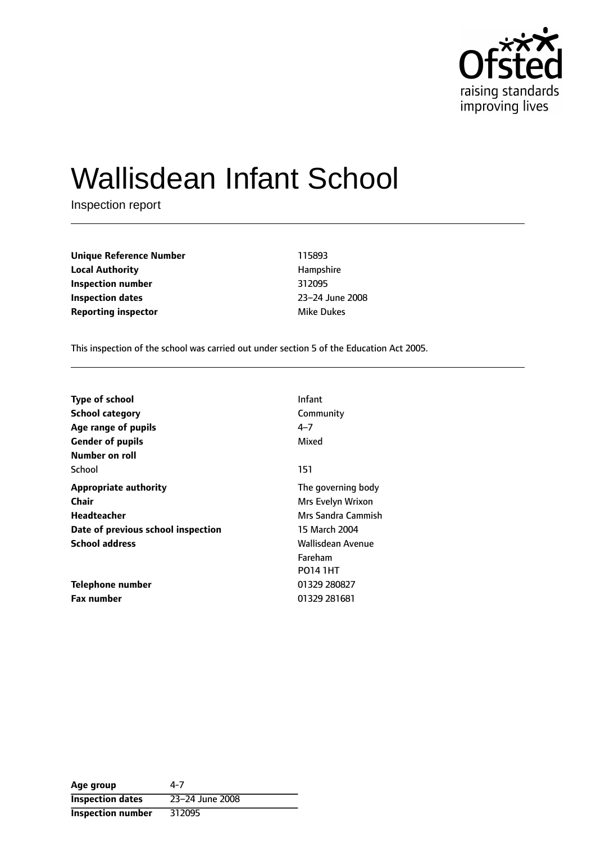

# Wallisdean Infant School

Inspection report

| <b>Unique Reference Number</b> | 115893     |
|--------------------------------|------------|
| <b>Local Authority</b>         | Hampshire  |
| Inspection number              | 312095     |
| <b>Inspection dates</b>        | 23-24 June |
| <b>Reporting inspector</b>     | Mike Dukes |

**Unique Reference Number** 115893 **Local Authority** Hampshire **Inspection number** 312095 **Inspection dates** 2324 June 2008

This inspection of the school was carried out under section 5 of the Education Act 2005.

| <b>Infant</b>      |
|--------------------|
| Community          |
| $4 - 7$            |
| Mixed              |
|                    |
| 151                |
| The governing body |
| Mrs Evelyn Wrixon  |
| Mrs Sandra Cammish |
| 15 March 2004      |
| Wallisdean Avenue  |
| Fareham            |
| <b>PO14 1HT</b>    |
| 01329 280827       |
| 01329 281681       |
|                    |

| Age group                | 4-7             |
|--------------------------|-----------------|
| <b>Inspection dates</b>  | 23-24 June 2008 |
| <b>Inspection number</b> | 312095          |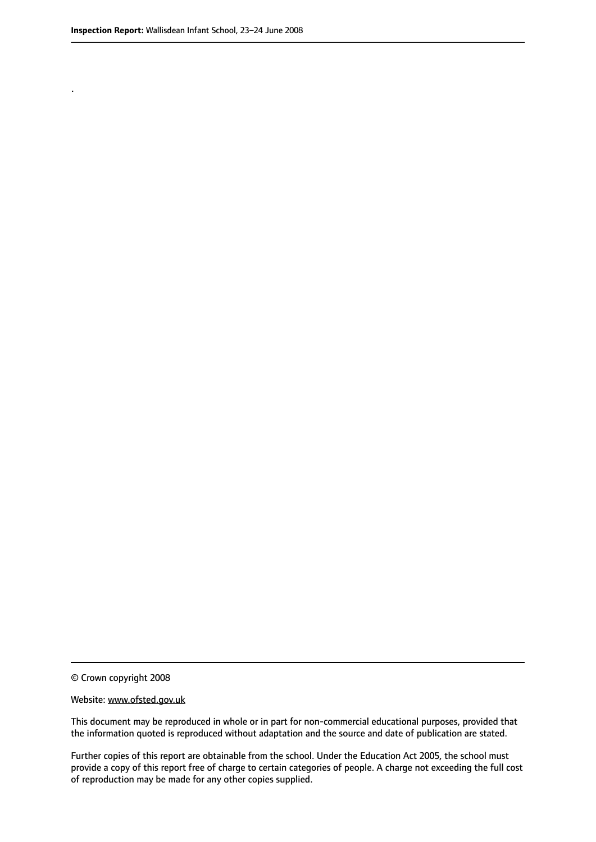.

© Crown copyright 2008

#### Website: www.ofsted.gov.uk

This document may be reproduced in whole or in part for non-commercial educational purposes, provided that the information quoted is reproduced without adaptation and the source and date of publication are stated.

Further copies of this report are obtainable from the school. Under the Education Act 2005, the school must provide a copy of this report free of charge to certain categories of people. A charge not exceeding the full cost of reproduction may be made for any other copies supplied.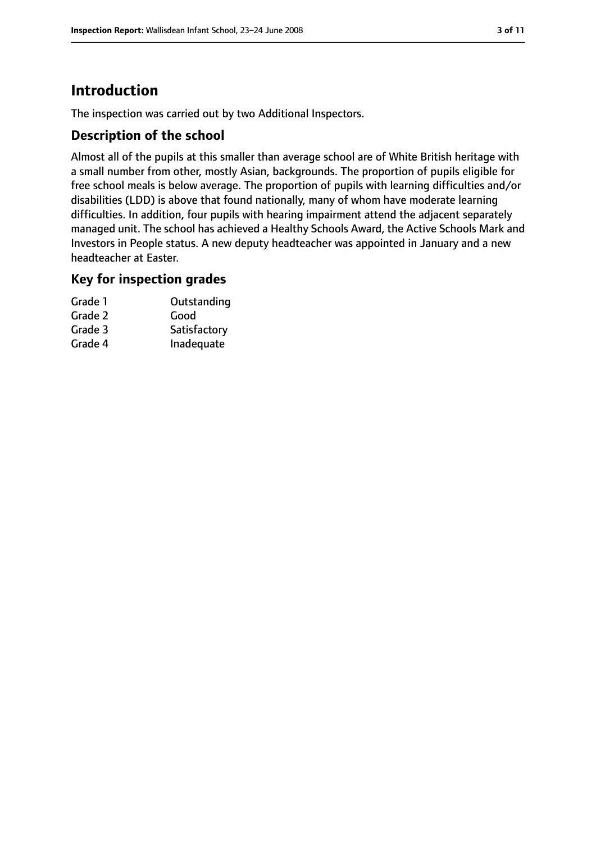# **Introduction**

The inspection was carried out by two Additional Inspectors.

## **Description of the school**

Almost all of the pupils at this smaller than average school are of White British heritage with a small number from other, mostly Asian, backgrounds. The proportion of pupils eligible for free school meals is below average. The proportion of pupils with learning difficulties and/or disabilities (LDD) is above that found nationally, many of whom have moderate learning difficulties. In addition, four pupils with hearing impairment attend the adjacent separately managed unit. The school has achieved a Healthy Schools Award, the Active Schools Mark and Investors in People status. A new deputy headteacher was appointed in January and a new headteacher at Easter.

## **Key for inspection grades**

| Grade 1 | Outstanding  |
|---------|--------------|
| Grade 2 | Good         |
| Grade 3 | Satisfactory |
| Grade 4 | Inadequate   |
|         |              |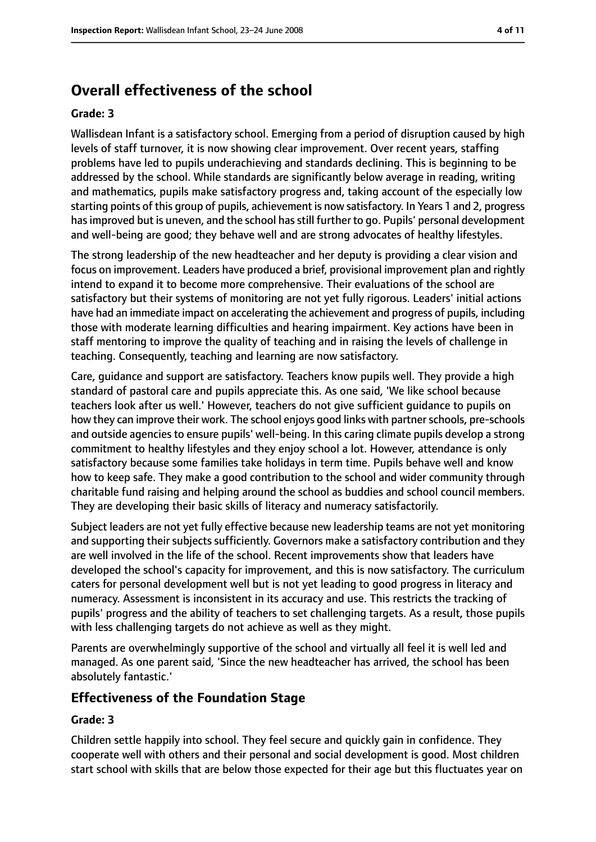# **Overall effectiveness of the school**

#### **Grade: 3**

Wallisdean Infant is a satisfactory school. Emerging from a period of disruption caused by high levels of staff turnover, it is now showing clear improvement. Over recent years, staffing problems have led to pupils underachieving and standards declining. This is beginning to be addressed by the school. While standards are significantly below average in reading, writing and mathematics, pupils make satisfactory progress and, taking account of the especially low starting points of this group of pupils, achievement is now satisfactory. In Years 1 and 2, progress hasimproved but is uneven, and the school hasstill further to go. Pupils' personal development and well-being are good; they behave well and are strong advocates of healthy lifestyles.

The strong leadership of the new headteacher and her deputy is providing a clear vision and focus on improvement. Leaders have produced a brief, provisional improvement plan and rightly intend to expand it to become more comprehensive. Their evaluations of the school are satisfactory but their systems of monitoring are not yet fully rigorous. Leaders' initial actions have had an immediate impact on accelerating the achievement and progress of pupils, including those with moderate learning difficulties and hearing impairment. Key actions have been in staff mentoring to improve the quality of teaching and in raising the levels of challenge in teaching. Consequently, teaching and learning are now satisfactory.

Care, guidance and support are satisfactory. Teachers know pupils well. They provide a high standard of pastoral care and pupils appreciate this. As one said, 'We like school because teachers look after us well.' However, teachers do not give sufficient guidance to pupils on how they can improve their work. The school enjoys good links with partner schools, pre-schools and outside agencies to ensure pupils' well-being. In this caring climate pupils develop a strong commitment to healthy lifestyles and they enjoy school a lot. However, attendance is only satisfactory because some families take holidays in term time. Pupils behave well and know how to keep safe. They make a good contribution to the school and wider community through charitable fund raising and helping around the school as buddies and school council members. They are developing their basic skills of literacy and numeracy satisfactorily.

Subject leaders are not yet fully effective because new leadership teams are not yet monitoring and supporting their subjects sufficiently. Governors make a satisfactory contribution and they are well involved in the life of the school. Recent improvements show that leaders have developed the school's capacity for improvement, and this is now satisfactory. The curriculum caters for personal development well but is not yet leading to good progress in literacy and numeracy. Assessment is inconsistent in its accuracy and use. This restricts the tracking of pupils' progress and the ability of teachers to set challenging targets. As a result, those pupils with less challenging targets do not achieve as well as they might.

Parents are overwhelmingly supportive of the school and virtually all feel it is well led and managed. As one parent said, 'Since the new headteacher has arrived, the school has been absolutely fantastic.'

## **Effectiveness of the Foundation Stage**

#### **Grade: 3**

Children settle happily into school. They feel secure and quickly gain in confidence. They cooperate well with others and their personal and social development is good. Most children start school with skills that are below those expected for their age but this fluctuates year on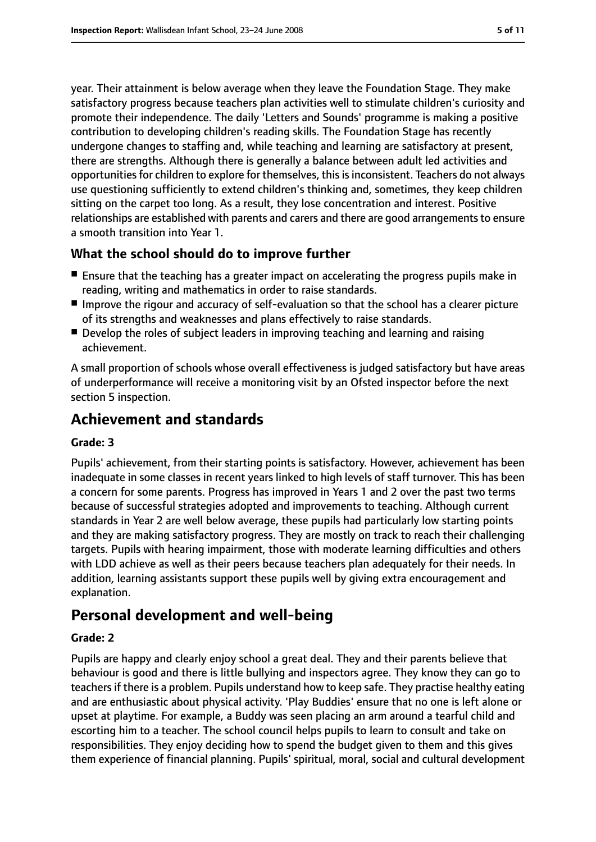year. Their attainment is below average when they leave the Foundation Stage. They make satisfactory progress because teachers plan activities well to stimulate children's curiosity and promote their independence. The daily 'Letters and Sounds' programme is making a positive contribution to developing children's reading skills. The Foundation Stage has recently undergone changes to staffing and, while teaching and learning are satisfactory at present, there are strengths. Although there is generally a balance between adult led activities and opportunities for children to explore for themselves, this is inconsistent. Teachers do not always use questioning sufficiently to extend children's thinking and, sometimes, they keep children sitting on the carpet too long. As a result, they lose concentration and interest. Positive relationships are established with parents and carers and there are good arrangements to ensure a smooth transition into Year 1.

## **What the school should do to improve further**

- Ensure that the teaching has a greater impact on accelerating the progress pupils make in reading, writing and mathematics in order to raise standards.
- Improve the rigour and accuracy of self-evaluation so that the school has a clearer picture of its strengths and weaknesses and plans effectively to raise standards.
- Develop the roles of subject leaders in improving teaching and learning and raising achievement.

A small proportion of schools whose overall effectiveness is judged satisfactory but have areas of underperformance will receive a monitoring visit by an Ofsted inspector before the next section 5 inspection.

# **Achievement and standards**

#### **Grade: 3**

Pupils' achievement, from their starting points is satisfactory. However, achievement has been inadequate in some classes in recent years linked to high levels of staff turnover. This has been a concern for some parents. Progress has improved in Years 1 and 2 over the past two terms because of successful strategies adopted and improvements to teaching. Although current standards in Year 2 are well below average, these pupils had particularly low starting points and they are making satisfactory progress. They are mostly on track to reach their challenging targets. Pupils with hearing impairment, those with moderate learning difficulties and others with LDD achieve as well as their peers because teachers plan adequately for their needs. In addition, learning assistants support these pupils well by giving extra encouragement and explanation.

# **Personal development and well-being**

## **Grade: 2**

Pupils are happy and clearly enjoy school a great deal. They and their parents believe that behaviour is good and there is little bullying and inspectors agree. They know they can go to teachers if there is a problem. Pupils understand how to keep safe. They practise healthy eating and are enthusiastic about physical activity. 'Play Buddies' ensure that no one is left alone or upset at playtime. For example, a Buddy was seen placing an arm around a tearful child and escorting him to a teacher. The school council helps pupils to learn to consult and take on responsibilities. They enjoy deciding how to spend the budget given to them and this gives them experience of financial planning. Pupils' spiritual, moral, social and cultural development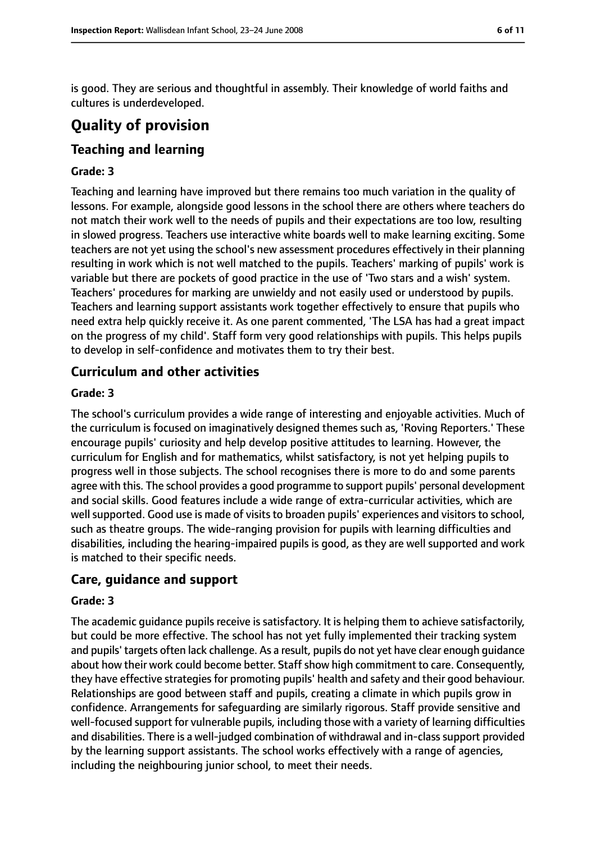is good. They are serious and thoughtful in assembly. Their knowledge of world faiths and cultures is underdeveloped.

# **Quality of provision**

# **Teaching and learning**

#### **Grade: 3**

Teaching and learning have improved but there remains too much variation in the quality of lessons. For example, alongside good lessons in the school there are others where teachers do not match their work well to the needs of pupils and their expectations are too low, resulting in slowed progress. Teachers use interactive white boards well to make learning exciting. Some teachers are not yet using the school's new assessment procedures effectively in their planning resulting in work which is not well matched to the pupils. Teachers' marking of pupils' work is variable but there are pockets of good practice in the use of 'Two stars and a wish' system. Teachers' procedures for marking are unwieldy and not easily used or understood by pupils. Teachers and learning support assistants work together effectively to ensure that pupils who need extra help quickly receive it. As one parent commented, 'The LSA has had a great impact on the progress of my child'. Staff form very good relationships with pupils. This helps pupils to develop in self-confidence and motivates them to try their best.

## **Curriculum and other activities**

#### **Grade: 3**

The school's curriculum provides a wide range of interesting and enjoyable activities. Much of the curriculum is focused on imaginatively designed themes such as, 'Roving Reporters.' These encourage pupils' curiosity and help develop positive attitudes to learning. However, the curriculum for English and for mathematics, whilst satisfactory, is not yet helping pupils to progress well in those subjects. The school recognises there is more to do and some parents agree with this. The school provides a good programme to support pupils' personal development and social skills. Good features include a wide range of extra-curricular activities, which are well supported. Good use is made of visits to broaden pupils' experiences and visitors to school, such as theatre groups. The wide-ranging provision for pupils with learning difficulties and disabilities, including the hearing-impaired pupils is good, as they are well supported and work is matched to their specific needs.

## **Care, guidance and support**

#### **Grade: 3**

The academic guidance pupils receive is satisfactory. It is helping them to achieve satisfactorily, but could be more effective. The school has not yet fully implemented their tracking system and pupils' targets often lack challenge. As a result, pupils do not yet have clear enough guidance about how their work could become better. Staff show high commitment to care. Consequently, they have effective strategies for promoting pupils' health and safety and their good behaviour. Relationships are good between staff and pupils, creating a climate in which pupils grow in confidence. Arrangements for safeguarding are similarly rigorous. Staff provide sensitive and well-focused support for vulnerable pupils, including those with a variety of learning difficulties and disabilities. There is a well-judged combination of withdrawal and in-class support provided by the learning support assistants. The school works effectively with a range of agencies, including the neighbouring junior school, to meet their needs.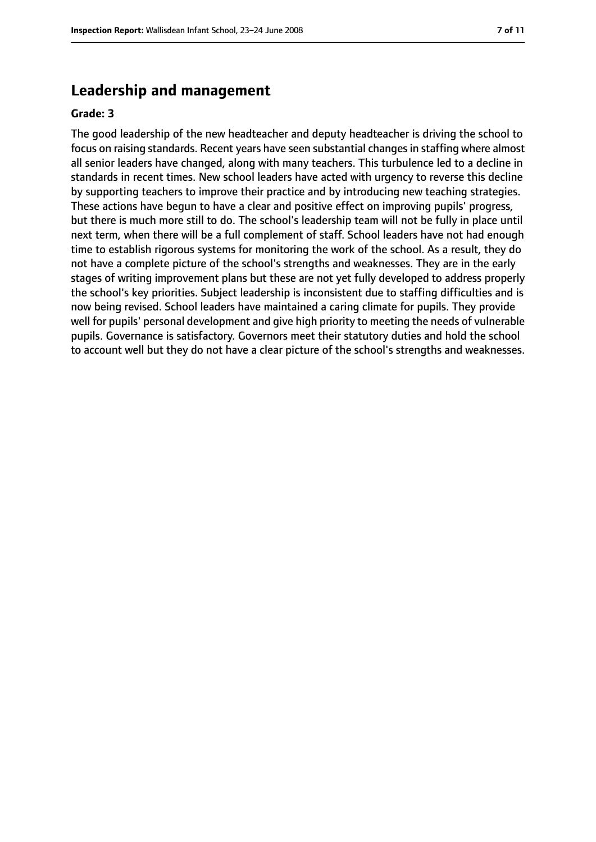## **Leadership and management**

#### **Grade: 3**

The good leadership of the new headteacher and deputy headteacher is driving the school to focus on raising standards. Recent years have seen substantial changes in staffing where almost all senior leaders have changed, along with many teachers. This turbulence led to a decline in standards in recent times. New school leaders have acted with urgency to reverse this decline by supporting teachers to improve their practice and by introducing new teaching strategies. These actions have begun to have a clear and positive effect on improving pupils' progress, but there is much more still to do. The school's leadership team will not be fully in place until next term, when there will be a full complement of staff. School leaders have not had enough time to establish rigorous systems for monitoring the work of the school. As a result, they do not have a complete picture of the school's strengths and weaknesses. They are in the early stages of writing improvement plans but these are not yet fully developed to address properly the school's key priorities. Subject leadership is inconsistent due to staffing difficulties and is now being revised. School leaders have maintained a caring climate for pupils. They provide well for pupils' personal development and give high priority to meeting the needs of vulnerable pupils. Governance is satisfactory. Governors meet their statutory duties and hold the school to account well but they do not have a clear picture of the school's strengths and weaknesses.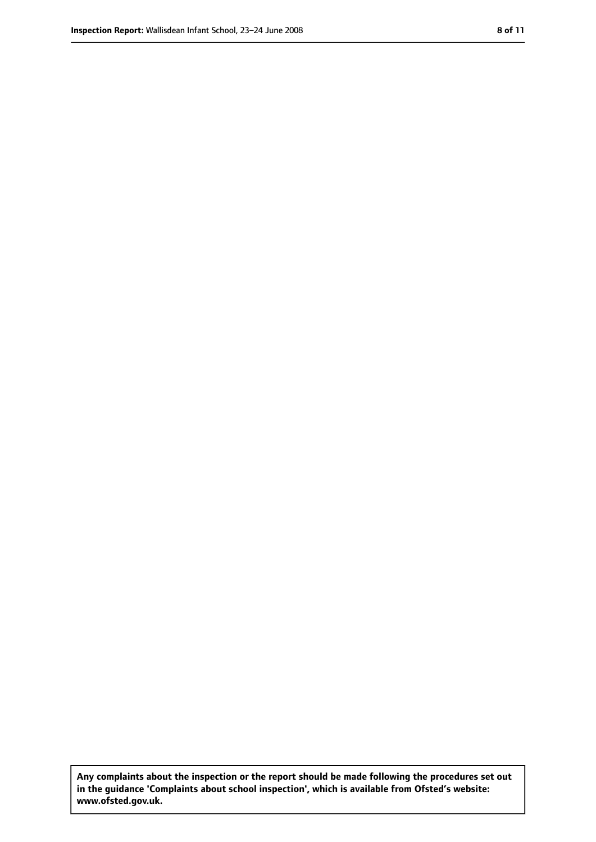**Any complaints about the inspection or the report should be made following the procedures set out in the guidance 'Complaints about school inspection', which is available from Ofsted's website: www.ofsted.gov.uk.**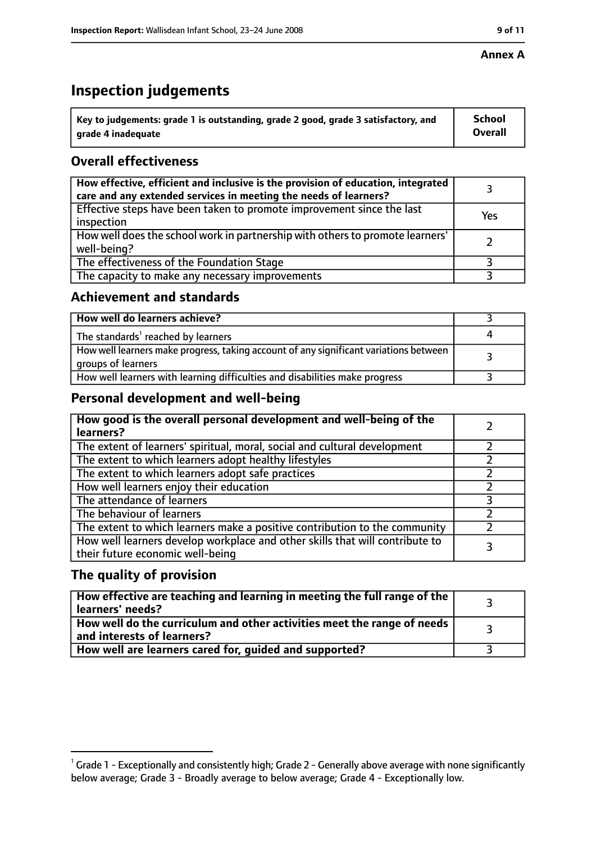#### **Annex A**

# **Inspection judgements**

| $\degree$ Key to judgements: grade 1 is outstanding, grade 2 good, grade 3 satisfactory, and | School         |
|----------------------------------------------------------------------------------------------|----------------|
| arade 4 inadequate                                                                           | <b>Overall</b> |

# **Overall effectiveness**

| How effective, efficient and inclusive is the provision of education, integrated<br>care and any extended services in meeting the needs of learners? |     |
|------------------------------------------------------------------------------------------------------------------------------------------------------|-----|
| Effective steps have been taken to promote improvement since the last<br>inspection                                                                  | Yes |
| How well does the school work in partnership with others to promote learners'<br>well-being?                                                         |     |
| The effectiveness of the Foundation Stage                                                                                                            |     |
| The capacity to make any necessary improvements                                                                                                      |     |

## **Achievement and standards**

| How well do learners achieve?                                                                               |  |
|-------------------------------------------------------------------------------------------------------------|--|
| The standards <sup>1</sup> reached by learners                                                              |  |
| How well learners make progress, taking account of any significant variations between<br>groups of learners |  |
| How well learners with learning difficulties and disabilities make progress                                 |  |

# **Personal development and well-being**

| How good is the overall personal development and well-being of the<br>learners?                                  |  |
|------------------------------------------------------------------------------------------------------------------|--|
| The extent of learners' spiritual, moral, social and cultural development                                        |  |
| The extent to which learners adopt healthy lifestyles                                                            |  |
| The extent to which learners adopt safe practices                                                                |  |
| How well learners enjoy their education                                                                          |  |
| The attendance of learners                                                                                       |  |
| The behaviour of learners                                                                                        |  |
| The extent to which learners make a positive contribution to the community                                       |  |
| How well learners develop workplace and other skills that will contribute to<br>their future economic well-being |  |

# **The quality of provision**

| How effective are teaching and learning in meeting the full range of the<br>learners' needs?          |  |
|-------------------------------------------------------------------------------------------------------|--|
| How well do the curriculum and other activities meet the range of needs<br>and interests of learners? |  |
| How well are learners cared for, quided and supported?                                                |  |

 $^1$  Grade 1 - Exceptionally and consistently high; Grade 2 - Generally above average with none significantly below average; Grade 3 - Broadly average to below average; Grade 4 - Exceptionally low.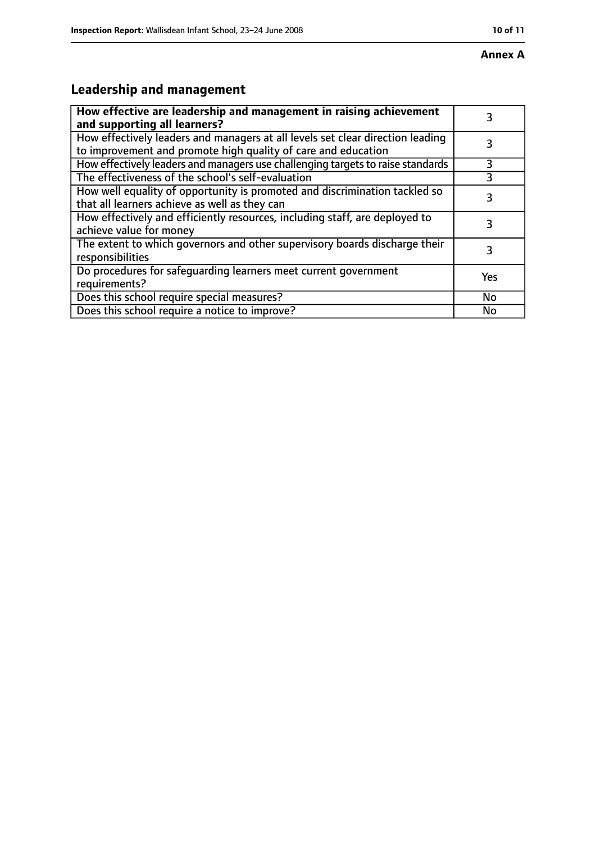# **Annex A**

# **Leadership and management**

| How effective are leadership and management in raising achievement<br>and supporting all learners?                                              |     |
|-------------------------------------------------------------------------------------------------------------------------------------------------|-----|
| How effectively leaders and managers at all levels set clear direction leading<br>to improvement and promote high quality of care and education |     |
| How effectively leaders and managers use challenging targets to raise standards                                                                 | 3   |
| The effectiveness of the school's self-evaluation                                                                                               |     |
| How well equality of opportunity is promoted and discrimination tackled so<br>that all learners achieve as well as they can                     | 3   |
| How effectively and efficiently resources, including staff, are deployed to<br>achieve value for money                                          |     |
| The extent to which governors and other supervisory boards discharge their<br>responsibilities                                                  | 3   |
| Do procedures for safequarding learners meet current government<br>requirements?                                                                | Yes |
| Does this school require special measures?                                                                                                      | No  |
| Does this school require a notice to improve?                                                                                                   | No  |